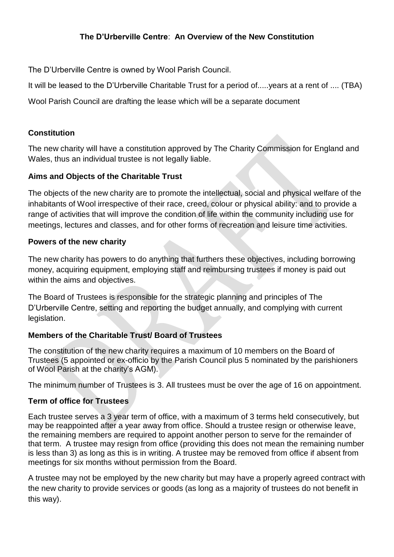# **The D'Urberville Centre**: **An Overview of the New Constitution**

The D'Urberville Centre is owned by Wool Parish Council.

It will be leased to the D'Urberville Charitable Trust for a period of.....years at a rent of .... (TBA)

Wool Parish Council are drafting the lease which will be a separate document

# **Constitution**

The new charity will have a constitution approved by The Charity Commission for England and Wales, thus an individual trustee is not legally liable.

# **Aims and Objects of the Charitable Trust**

The objects of the new charity are to promote the intellectual, social and physical welfare of the inhabitants of Wool irrespective of their race, creed, colour or physical ability: and to provide a range of activities that will improve the condition of life within the community including use for meetings, lectures and classes, and for other forms of recreation and leisure time activities.

#### **Powers of the new charity**

The new charity has powers to do anything that furthers these objectives, including borrowing money, acquiring equipment, employing staff and reimbursing trustees if money is paid out within the aims and objectives.

The Board of Trustees is responsible for the strategic planning and principles of The D'Urberville Centre, setting and reporting the budget annually, and complying with current legislation.

#### **Members of the Charitable Trust/ Board of Trustees**

The constitution of the new charity requires a maximum of 10 members on the Board of Trustees (5 appointed or ex-officio by the Parish Council plus 5 nominated by the parishioners of Wool Parish at the charity's AGM).

The minimum number of Trustees is 3. All trustees must be over the age of 16 on appointment.

#### **Term of office for Trustees**

Each trustee serves a 3 year term of office, with a maximum of 3 terms held consecutively, but may be reappointed after a year away from office. Should a trustee resign or otherwise leave, the remaining members are required to appoint another person to serve for the remainder of that term. A trustee may resign from office (providing this does not mean the remaining number is less than 3) as long as this is in writing. A trustee may be removed from office if absent from meetings for six months without permission from the Board.

A trustee may not be employed by the new charity but may have a properly agreed contract with the new charity to provide services or goods (as long as a majority of trustees do not benefit in this way).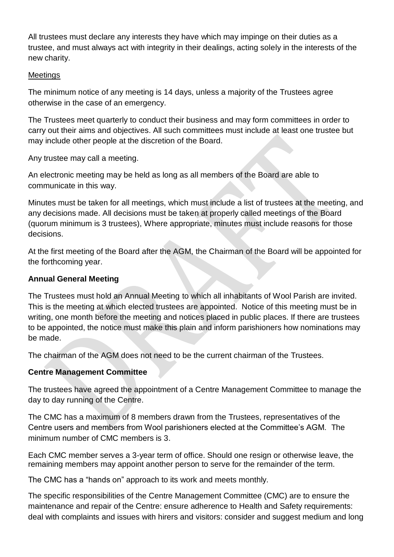All trustees must declare any interests they have which may impinge on their duties as a trustee, and must always act with integrity in their dealings, acting solely in the interests of the new charity.

### **Meetings**

The minimum notice of any meeting is 14 days, unless a majority of the Trustees agree otherwise in the case of an emergency.

The Trustees meet quarterly to conduct their business and may form committees in order to carry out their aims and objectives. All such committees must include at least one trustee but may include other people at the discretion of the Board.

Any trustee may call a meeting.

An electronic meeting may be held as long as all members of the Board are able to communicate in this way.

Minutes must be taken for all meetings, which must include a list of trustees at the meeting, and any decisions made. All decisions must be taken at properly called meetings of the Board (quorum minimum is 3 trustees), Where appropriate, minutes must include reasons for those decisions.

At the first meeting of the Board after the AGM, the Chairman of the Board will be appointed for the forthcoming year.

# **Annual General Meeting**

The Trustees must hold an Annual Meeting to which all inhabitants of Wool Parish are invited. This is the meeting at which elected trustees are appointed. Notice of this meeting must be in writing, one month before the meeting and notices placed in public places. If there are trustees to be appointed, the notice must make this plain and inform parishioners how nominations may be made.

The chairman of the AGM does not need to be the current chairman of the Trustees.

# **Centre Management Committee**

The trustees have agreed the appointment of a Centre Management Committee to manage the day to day running of the Centre.

The CMC has a maximum of 8 members drawn from the Trustees, representatives of the Centre users and members from Wool parishioners elected at the Committee's AGM. The minimum number of CMC members is 3.

Each CMC member serves a 3-year term of office. Should one resign or otherwise leave, the remaining members may appoint another person to serve for the remainder of the term.

The CMC has a "hands on" approach to its work and meets monthly.

The specific responsibilities of the Centre Management Committee (CMC) are to ensure the maintenance and repair of the Centre: ensure adherence to Health and Safety requirements: deal with complaints and issues with hirers and visitors: consider and suggest medium and long